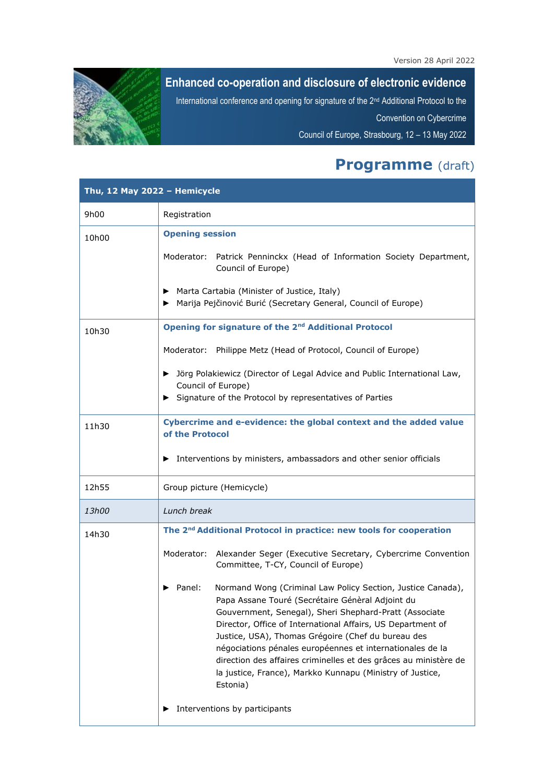

## **Enhanced co-operation and disclosure of electronic evidence**

International conference and opening for signature of the 2nd Additional Protocol to the

Convention on Cybercrime

Council of Europe, Strasbourg, 12 – 13 May 2022

## **Programme** (draft)

| Thu, 12 May 2022 - Hemicycle |                                                                                                                                                                                                                                                                                                                                                                                                                                                                                                                    |  |
|------------------------------|--------------------------------------------------------------------------------------------------------------------------------------------------------------------------------------------------------------------------------------------------------------------------------------------------------------------------------------------------------------------------------------------------------------------------------------------------------------------------------------------------------------------|--|
| 9h00                         | Registration                                                                                                                                                                                                                                                                                                                                                                                                                                                                                                       |  |
| 10h00                        | <b>Opening session</b>                                                                                                                                                                                                                                                                                                                                                                                                                                                                                             |  |
|                              | Moderator: Patrick Penninckx (Head of Information Society Department,<br>Council of Europe)                                                                                                                                                                                                                                                                                                                                                                                                                        |  |
|                              | Marta Cartabia (Minister of Justice, Italy)<br>Marija Pejčinović Burić (Secretary General, Council of Europe)                                                                                                                                                                                                                                                                                                                                                                                                      |  |
| 10h30                        | Opening for signature of the 2 <sup>nd</sup> Additional Protocol                                                                                                                                                                                                                                                                                                                                                                                                                                                   |  |
|                              | Moderator: Philippe Metz (Head of Protocol, Council of Europe)                                                                                                                                                                                                                                                                                                                                                                                                                                                     |  |
|                              | > Jörg Polakiewicz (Director of Legal Advice and Public International Law,<br>Council of Europe)                                                                                                                                                                                                                                                                                                                                                                                                                   |  |
|                              | Signature of the Protocol by representatives of Parties                                                                                                                                                                                                                                                                                                                                                                                                                                                            |  |
| 11h30                        | Cybercrime and e-evidence: the global context and the added value<br>of the Protocol                                                                                                                                                                                                                                                                                                                                                                                                                               |  |
|                              | Interventions by ministers, ambassadors and other senior officials<br>▶                                                                                                                                                                                                                                                                                                                                                                                                                                            |  |
| 12h55                        | Group picture (Hemicycle)                                                                                                                                                                                                                                                                                                                                                                                                                                                                                          |  |
| 13h00                        | Lunch break                                                                                                                                                                                                                                                                                                                                                                                                                                                                                                        |  |
| 14h30                        | The 2 <sup>nd</sup> Additional Protocol in practice: new tools for cooperation                                                                                                                                                                                                                                                                                                                                                                                                                                     |  |
|                              | Moderator:<br>Alexander Seger (Executive Secretary, Cybercrime Convention<br>Committee, T-CY, Council of Europe)                                                                                                                                                                                                                                                                                                                                                                                                   |  |
|                              | Panel:<br>Normand Wong (Criminal Law Policy Section, Justice Canada),<br>Papa Assane Touré (Secrétaire Génèral Adjoint du<br>Gouvernment, Senegal), Sheri Shephard-Pratt (Associate<br>Director, Office of International Affairs, US Department of<br>Justice, USA), Thomas Grégoire (Chef du bureau des<br>négociations pénales européennes et internationales de la<br>direction des affaires criminelles et des grâces au ministère de<br>la justice, France), Markko Kunnapu (Ministry of Justice,<br>Estonia) |  |
|                              | Interventions by participants                                                                                                                                                                                                                                                                                                                                                                                                                                                                                      |  |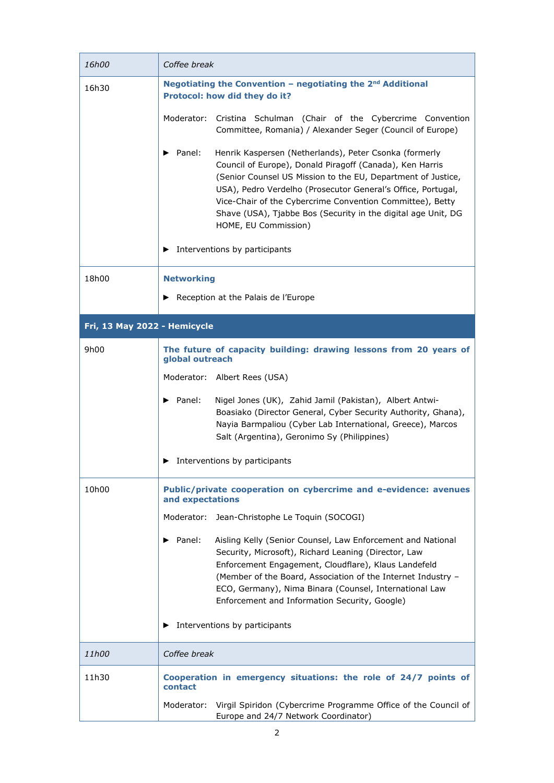| 16h00                        | Coffee break                                                                                                                                                                                                                                                                                                                                                                                                                                                  |
|------------------------------|---------------------------------------------------------------------------------------------------------------------------------------------------------------------------------------------------------------------------------------------------------------------------------------------------------------------------------------------------------------------------------------------------------------------------------------------------------------|
| 16h30                        | Negotiating the Convention - negotiating the 2 <sup>nd</sup> Additional<br>Protocol: how did they do it?                                                                                                                                                                                                                                                                                                                                                      |
|                              | Moderator:<br>Cristina Schulman (Chair of the Cybercrime Convention<br>Committee, Romania) / Alexander Seger (Council of Europe)                                                                                                                                                                                                                                                                                                                              |
|                              | Henrik Kaspersen (Netherlands), Peter Csonka (formerly<br>Panel:<br>▶<br>Council of Europe), Donald Piragoff (Canada), Ken Harris<br>(Senior Counsel US Mission to the EU, Department of Justice,<br>USA), Pedro Verdelho (Prosecutor General's Office, Portugal,<br>Vice-Chair of the Cybercrime Convention Committee), Betty<br>Shave (USA), Tjabbe Bos (Security in the digital age Unit, DG<br>HOME, EU Commission)<br>Interventions by participants<br>▶ |
| 18h00                        |                                                                                                                                                                                                                                                                                                                                                                                                                                                               |
|                              | <b>Networking</b><br>Reception at the Palais de l'Europe<br>▶                                                                                                                                                                                                                                                                                                                                                                                                 |
| Fri, 13 May 2022 - Hemicycle |                                                                                                                                                                                                                                                                                                                                                                                                                                                               |
| 9h00                         | The future of capacity building: drawing lessons from 20 years of<br>global outreach                                                                                                                                                                                                                                                                                                                                                                          |
|                              | Moderator: Albert Rees (USA)                                                                                                                                                                                                                                                                                                                                                                                                                                  |
|                              | $\blacktriangleright$ Panel:<br>Nigel Jones (UK), Zahid Jamil (Pakistan), Albert Antwi-<br>Boasiako (Director General, Cyber Security Authority, Ghana),<br>Nayia Barmpaliou (Cyber Lab International, Greece), Marcos<br>Salt (Argentina), Geronimo Sy (Philippines)                                                                                                                                                                                         |
|                              | Interventions by participants<br>▶                                                                                                                                                                                                                                                                                                                                                                                                                            |
| 10h00                        | Public/private cooperation on cybercrime and e-evidence: avenues<br>and expectations                                                                                                                                                                                                                                                                                                                                                                          |
|                              | Moderator: Jean-Christophe Le Toquin (SOCOGI)                                                                                                                                                                                                                                                                                                                                                                                                                 |
|                              | $\blacktriangleright$ Panel:<br>Aisling Kelly (Senior Counsel, Law Enforcement and National<br>Security, Microsoft), Richard Leaning (Director, Law<br>Enforcement Engagement, Cloudflare), Klaus Landefeld<br>(Member of the Board, Association of the Internet Industry -<br>ECO, Germany), Nima Binara (Counsel, International Law<br>Enforcement and Information Security, Google)                                                                        |
|                              | Interventions by participants<br>▶                                                                                                                                                                                                                                                                                                                                                                                                                            |
| <i>11h00</i>                 | Coffee break                                                                                                                                                                                                                                                                                                                                                                                                                                                  |
| 11h30                        | Cooperation in emergency situations: the role of 24/7 points of<br>contact                                                                                                                                                                                                                                                                                                                                                                                    |
|                              | Moderator: Virgil Spiridon (Cybercrime Programme Office of the Council of<br>Europe and 24/7 Network Coordinator)                                                                                                                                                                                                                                                                                                                                             |